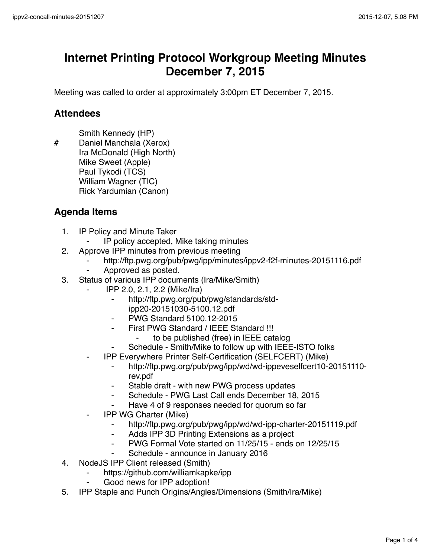# **Internet Printing Protocol Workgroup Meeting Minutes December 7, 2015**

Meeting was called to order at approximately 3:00pm ET December 7, 2015.

### **Attendees**

- Smith Kennedy (HP)
- # Daniel Manchala (Xerox) Ira McDonald (High North) Mike Sweet (Apple) Paul Tykodi (TCS) William Wagner (TIC) Rick Yardumian (Canon)

## **Agenda Items**

- 1. IP Policy and Minute Taker
	- ⁃ IP policy accepted, Mike taking minutes
- 2. Approve IPP minutes from previous meeting
	- ⁃ http://ftp.pwg.org/pub/pwg/ipp/minutes/ippv2-f2f-minutes-20151116.pdf
	- Approved as posted.
- 3. Status of various IPP documents (Ira/Mike/Smith)
	- ⁃ IPP 2.0, 2.1, 2.2 (Mike/Ira)
		- ⁃ http://ftp.pwg.org/pub/pwg/standards/stdipp20-20151030-5100.12.pdf
		- ⁃ PWG Standard 5100.12-2015
		- ⁃ First PWG Standard / IEEE Standard !!!
			- to be published (free) in IEEE catalog
		- Schedule Smith/Mike to follow up with IEEE-ISTO folks
	- ⁃ IPP Everywhere Printer Self-Certification (SELFCERT) (Mike)
		- http://ftp.pwg.org/pub/pwg/ipp/wd/wd-ippeveselfcert10-20151110rev.pdf
		- Stable draft with new PWG process updates
		- ⁃ Schedule PWG Last Call ends December 18, 2015
		- Have 4 of 9 responses needed for quorum so far
	- **IPP WG Charter (Mike)** 
		- ⁃ http://ftp.pwg.org/pub/pwg/ipp/wd/wd-ipp-charter-20151119.pdf
		- ⁃ Adds IPP 3D Printing Extensions as a project
		- PWG Formal Vote started on 11/25/15 ends on 12/25/15
		- Schedule announce in January 2016
- 4. NodeJS IPP Client released (Smith)
	- https://github.com/williamkapke/ipp
	- Good news for IPP adoption!
- 5. IPP Staple and Punch Origins/Angles/Dimensions (Smith/Ira/Mike)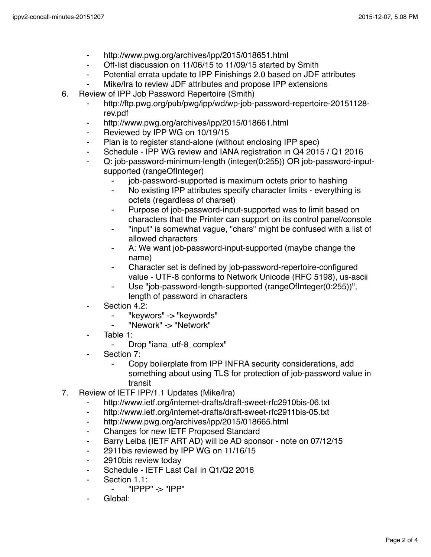- ⁃ http://www.pwg.org/archives/ipp/2015/018651.html
- ⁃ Off-list discussion on 11/06/15 to 11/09/15 started by Smith
- ⁃ Potential errata update to IPP Finishings 2.0 based on JDF attributes
- Mike/Ira to review JDF attributes and propose IPP extensions
- 6. Review of IPP Job Password Repertoire (Smith)
	- ⁃ http://ftp.pwg.org/pub/pwg/ipp/wd/wp-job-password-repertoire-20151128 rev.pdf
	- http://www.pwg.org/archives/ipp/2015/018661.html
	- ⁃ Reviewed by IPP WG on 10/19/15
	- ⁃ Plan is to register stand-alone (without enclosing IPP spec)
	- ⁃ Schedule IPP WG review and IANA registration in Q4 2015 / Q1 2016
	- ⁃ Q: job-password-minimum-length (integer(0:255)) OR job-password-inputsupported (rangeOfInteger)
		- job-password-supported is maximum octets prior to hashing
			- No existing IPP attributes specify character limits everything is octets (regardless of charset)
		- ⁃ Purpose of job-password-input-supported was to limit based on characters that the Printer can support on its control panel/console
		- "input" is somewhat vague, "chars" might be confused with a list of allowed characters
		- A: We want job-password-input-supported (maybe change the name)
		- Character set is defined by job-password-repertoire-configured value - UTF-8 conforms to Network Unicode (RFC 5198), us-ascii
		- Use "job-password-length-supported (rangeOfInteger(0:255))", length of password in characters
	- Section 4.2:
		- "keywors" -> "keywords"
		- ⁃ "Nework" -> "Network"
	- Table  $1<sup>+</sup>$ 
		- ⁃ Drop "iana\_utf-8\_complex"
	- ⁃ Section 7:
		- Copy boilerplate from IPP INFRA security considerations, add something about using TLS for protection of job-password value in transit
- 7. Review of IETF IPP/1.1 Updates (Mike/Ira)
	- ⁃ http://www.ietf.org/internet-drafts/draft-sweet-rfc2910bis-06.txt
	- ⁃ http://www.ietf.org/internet-drafts/draft-sweet-rfc2911bis-05.txt
	- ⁃ http://www.pwg.org/archives/ipp/2015/018665.html
	- ⁃ Changes for new IETF Proposed Standard
	- ⁃ Barry Leiba (IETF ART AD) will be AD sponsor note on 07/12/15
	- ⁃ 2911bis reviewed by IPP WG on 11/16/15
	- ⁃ 2910bis review today
	- Schedule IETF Last Call in Q1/Q2 2016
	- ⁃ Section 1.1:
		- $"$ IPPP" ->  $"$ IPP"
	- Global: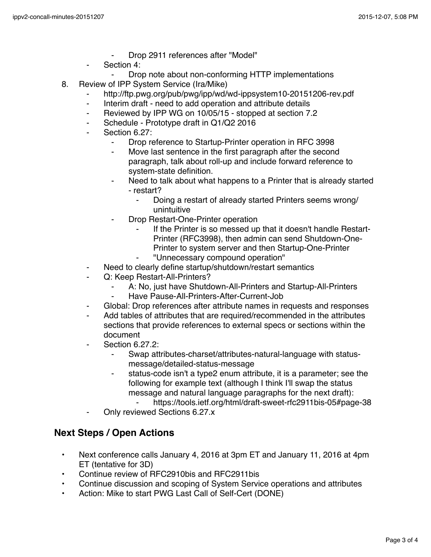- Drop 2911 references after "Model"
- Section 4:
	- Drop note about non-conforming HTTP implementations
- 8. Review of IPP System Service (Ira/Mike)
	- http://ftp.pwg.org/pub/pwg/ipp/wd/wd-ippsystem10-20151206-rev.pdf
	- Interim draft need to add operation and attribute details
	- ⁃ Reviewed by IPP WG on 10/05/15 stopped at section 7.2
	- Schedule Prototype draft in Q1/Q2 2016
	- Section 6.27:
		- Drop reference to Startup-Printer operation in RFC 3998
		- ⁃ Move last sentence in the first paragraph after the second paragraph, talk about roll-up and include forward reference to system-state definition.
		- Need to talk about what happens to a Printer that is already started - restart?
			- Doing a restart of already started Printers seems wrong/ unintuitive
		- ⁃ Drop Restart-One-Printer operation
			- If the Printer is so messed up that it doesn't handle Restart-Printer (RFC3998), then admin can send Shutdown-One-Printer to system server and then Startup-One-Printer
			- ⁃ "Unnecessary compound operation"
	- Need to clearly define startup/shutdown/restart semantics
	- ⁃ Q: Keep Restart-All-Printers?
		- A: No, just have Shutdown-All-Printers and Startup-All-Printers
		- Have Pause-All-Printers-After-Current-Job
	- Global: Drop references after attribute names in requests and responses
	- Add tables of attributes that are required/recommended in the attributes sections that provide references to external specs or sections within the document
	- **Section 6.27.2:** 
		- ⁃ Swap attributes-charset/attributes-natural-language with statusmessage/detailed-status-message
		- status-code isn't a type2 enum attribute, it is a parameter; see the following for example text (although I think I'll swap the status message and natural language paragraphs for the next draft):
		- https://tools.ietf.org/html/draft-sweet-rfc2911bis-05#page-38 Only reviewed Sections 6.27.x

#### **Next Steps / Open Actions**

- Next conference calls January 4, 2016 at 3pm ET and January 11, 2016 at 4pm ET (tentative for 3D)
- Continue review of RFC2910bis and RFC2911bis
- Continue discussion and scoping of System Service operations and attributes
- Action: Mike to start PWG Last Call of Self-Cert (DONE)